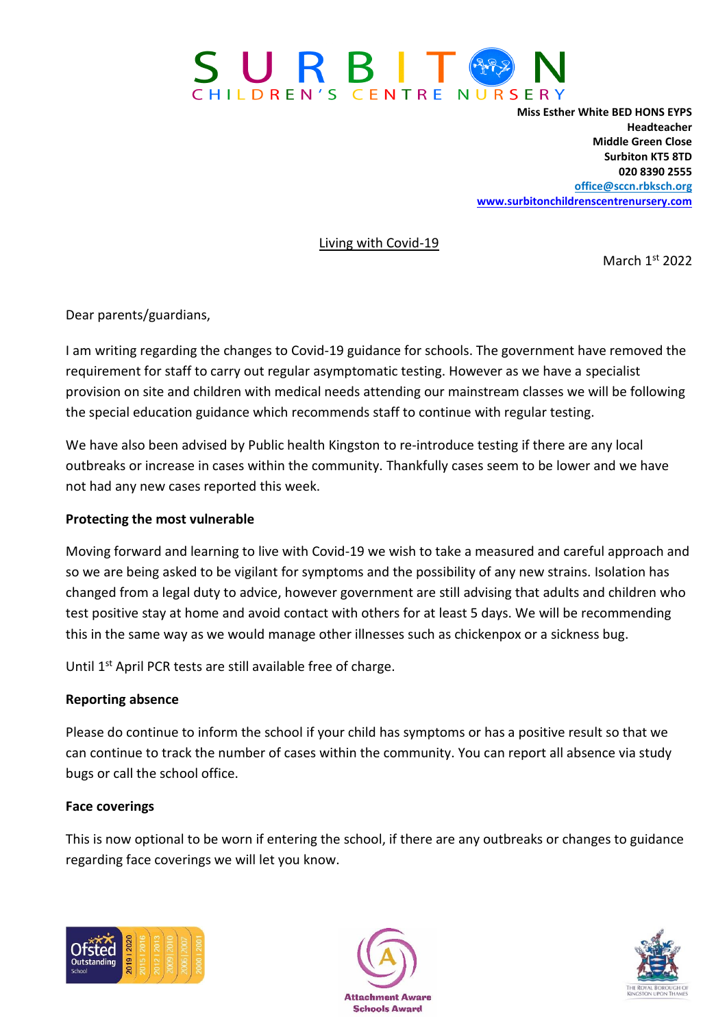

**Miss Esther White BED HONS EYPS Headteacher Middle Green Close Surbiton KT5 8TD 020 8390 2555 [office@sccn.rbksch.org](mailto:office@sccn.rbksch.org) [www.surbitonchildrenscentrenursery.com](http://www.surbitonchildrenscentrenursery.com/)**

Living with Covid-19

March 1st 2022

Dear parents/guardians,

I am writing regarding the changes to Covid-19 guidance for schools. The government have removed the requirement for staff to carry out regular asymptomatic testing. However as we have a specialist provision on site and children with medical needs attending our mainstream classes we will be following the special education guidance which recommends staff to continue with regular testing.

We have also been advised by Public health Kingston to re-introduce testing if there are any local outbreaks or increase in cases within the community. Thankfully cases seem to be lower and we have not had any new cases reported this week.

## **Protecting the most vulnerable**

Moving forward and learning to live with Covid-19 we wish to take a measured and careful approach and so we are being asked to be vigilant for symptoms and the possibility of any new strains. Isolation has changed from a legal duty to advice, however government are still advising that adults and children who test positive stay at home and avoid contact with others for at least 5 days. We will be recommending this in the same way as we would manage other illnesses such as chickenpox or a sickness bug.

Until 1<sup>st</sup> April PCR tests are still available free of charge.

## **Reporting absence**

Please do continue to inform the school if your child has symptoms or has a positive result so that we can continue to track the number of cases within the community. You can report all absence via study bugs or call the school office.

## **Face coverings**

This is now optional to be worn if entering the school, if there are any outbreaks or changes to guidance regarding face coverings we will let you know.